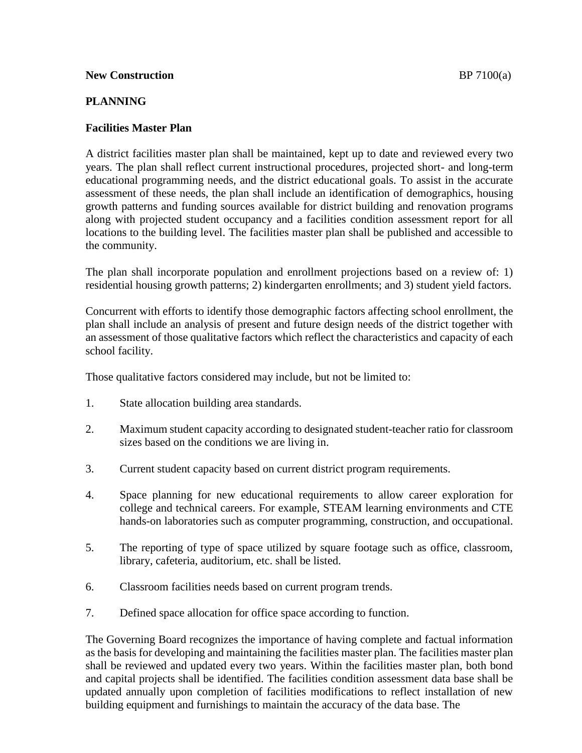## **New Construction BP 7100(a)**

## **PLANNING**

## **Facilities Master Plan**

A district facilities master plan shall be maintained, kept up to date and reviewed every two years. The plan shall reflect current instructional procedures, projected short- and long-term educational programming needs, and the district educational goals. To assist in the accurate assessment of these needs, the plan shall include an identification of demographics, housing growth patterns and funding sources available for district building and renovation programs along with projected student occupancy and a facilities condition assessment report for all locations to the building level. The facilities master plan shall be published and accessible to the community.

The plan shall incorporate population and enrollment projections based on a review of: 1) residential housing growth patterns; 2) kindergarten enrollments; and 3) student yield factors.

Concurrent with efforts to identify those demographic factors affecting school enrollment, the plan shall include an analysis of present and future design needs of the district together with an assessment of those qualitative factors which reflect the characteristics and capacity of each school facility.

Those qualitative factors considered may include, but not be limited to:

- 1. State allocation building area standards.
- 2. Maximum student capacity according to designated student-teacher ratio for classroom sizes based on the conditions we are living in.
- 3. Current student capacity based on current district program requirements.
- 4. Space planning for new educational requirements to allow career exploration for college and technical careers. For example, STEAM learning environments and CTE hands-on laboratories such as computer programming, construction, and occupational.
- 5. The reporting of type of space utilized by square footage such as office, classroom, library, cafeteria, auditorium, etc. shall be listed.
- 6. Classroom facilities needs based on current program trends.
- 7. Defined space allocation for office space according to function.

The Governing Board recognizes the importance of having complete and factual information as the basis for developing and maintaining the facilities master plan. The facilities master plan shall be reviewed and updated every two years. Within the facilities master plan, both bond and capital projects shall be identified. The facilities condition assessment data base shall be updated annually upon completion of facilities modifications to reflect installation of new building equipment and furnishings to maintain the accuracy of the data base. The